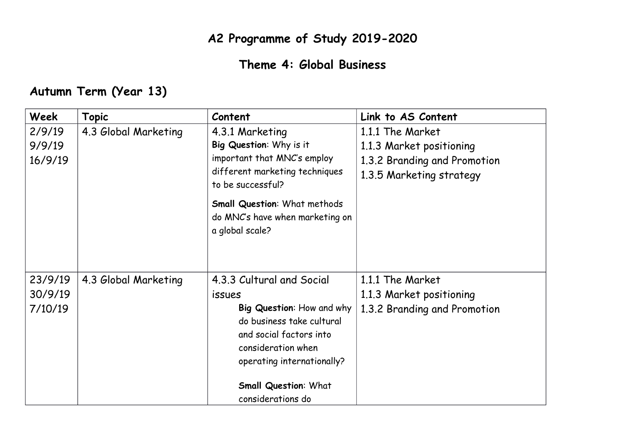## **A2 Programme of Study 2019-2020**

## **Theme 4: Global Business**

## **Autumn Term (Year 13)**

| Week                          | <b>Topic</b>         | Content                                                                                                                                                                                                                                 | Link to AS Content                                                                                       |
|-------------------------------|----------------------|-----------------------------------------------------------------------------------------------------------------------------------------------------------------------------------------------------------------------------------------|----------------------------------------------------------------------------------------------------------|
| 2/9/19<br>9/9/19<br>16/9/19   | 4.3 Global Marketing | 4.3.1 Marketing<br>Big Question: Why is it<br>important that MNC's employ<br>different marketing techniques<br>to be successful?<br><b>Small Question: What methods</b><br>do MNC's have when marketing on<br>a global scale?           | 1.1.1 The Market<br>1.1.3 Market positioning<br>1.3.2 Branding and Promotion<br>1.3.5 Marketing strategy |
| 23/9/19<br>30/9/19<br>7/10/19 | 4.3 Global Marketing | 4.3.3 Cultural and Social<br><i>issues</i><br>Big Question: How and why<br>do business take cultural<br>and social factors into<br>consideration when<br>operating internationally?<br><b>Small Question: What</b><br>considerations do | 1.1.1 The Market<br>1.1.3 Market positioning<br>1.3.2 Branding and Promotion                             |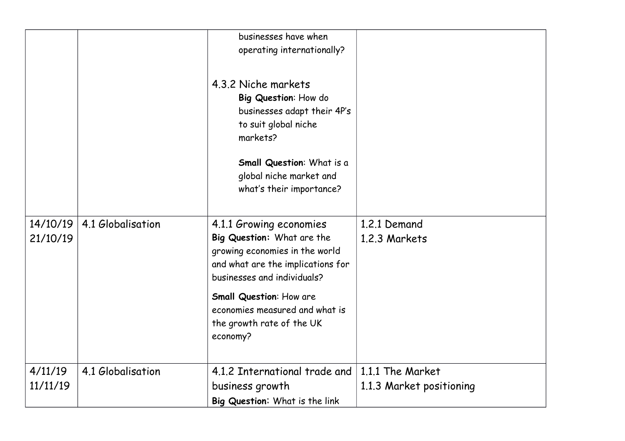|                      |                   | businesses have when<br>operating internationally?                                                                                                          |                                              |
|----------------------|-------------------|-------------------------------------------------------------------------------------------------------------------------------------------------------------|----------------------------------------------|
|                      |                   | 4.3.2 Niche markets<br>Big Question: How do<br>businesses adapt their 4P's<br>to suit global niche<br>markets?                                              |                                              |
|                      |                   | Small Question: What is a<br>global niche market and<br>what's their importance?                                                                            |                                              |
| 14/10/19<br>21/10/19 | 4.1 Globalisation | 4.1.1 Growing economies<br>Big Question: What are the<br>growing economies in the world<br>and what are the implications for<br>businesses and individuals? | 1.2.1 Demand<br>1.2.3 Markets                |
|                      |                   | <b>Small Question: How are</b><br>economies measured and what is<br>the growth rate of the UK<br>economy?                                                   |                                              |
| 4/11/19<br>11/11/19  | 4.1 Globalisation | 4.1.2 International trade and<br>business growth<br>Big Question: What is the link                                                                          | 1.1.1 The Market<br>1.1.3 Market positioning |